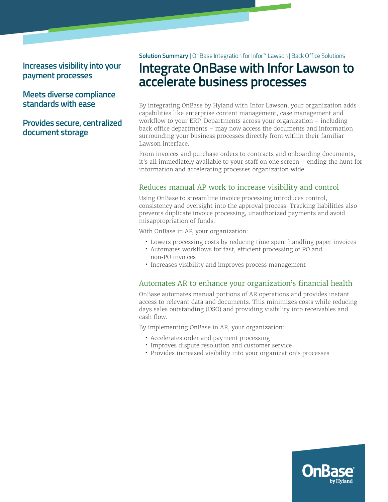**Increases visibility into your payment processes** 

### **Meets diverse compliance standards with ease**

## **Provides secure, centralized document storage**

**Solution Summary |** OnBase Integration for Infor™ Lawson | Back Office Solutions

# **Integrate OnBase with Infor Lawson to accelerate business processes**

By integrating OnBase by Hyland with Infor Lawson, your organization adds capabilities like enterprise content management, case management and workflow to your ERP. Departments across your organization – including back office departments – may now access the documents and information surrounding your business processes directly from within their familiar Lawson interface.

From invoices and purchase orders to contracts and onboarding documents, it's all immediately available to your staff on one screen – ending the hunt for information and accelerating processes organization-wide.

### Reduces manual AP work to increase visibility and control

Using OnBase to streamline invoice processing introduces control, consistency and oversight into the approval process. Tracking liabilities also prevents duplicate invoice processing, unauthorized payments and avoid misappropriation of funds.

With OnBase in AP, your organization:

- Lowers processing costs by reducing time spent handling paper invoices
- Automates workflows for fast, efficient processing of PO and non-PO invoices
- Increases visibility and improves process management

#### Automates AR to enhance your organization's financial health

OnBase automates manual portions of AR operations and provides instant access to relevant data and documents. This minimizes costs while reducing days sales outstanding (DSO) and providing visibility into receivables and cash flow.

By implementing OnBase in AR, your organization:

- Accelerates order and payment processing
- Improves dispute resolution and customer service
- Provides increased visibility into your organization's processes